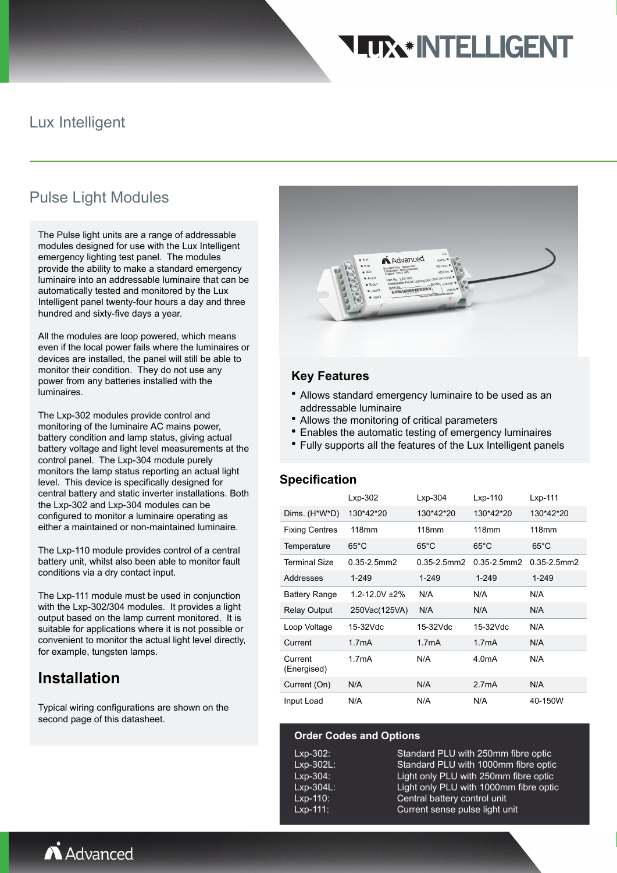# **TTX\*INTELLIGENT**

## Lux Intelligent

# Pulse Light Modules

The Pulse light units are a range of addressable modules designed for use with the Lux Intelligent emergency lighting test panel. The modules provide the ability to make a standard emergency luminaire into an addressable luminaire that can be automatically tested and monitored by the Lux Intelligent panel twenty-four hours a day and three hundred and sixty-five days a year.

All the modules are loop powered, which means even if the local power fails where the luminaires or devices are installed, the panel will still be able to monitor their condition. They do not use any power from any batteries installed with the luminaires.

The Lxp-302 modules provide control and monitoring of the luminaire AC mains power, battery condition and lamp status, giving actual battery voltage and light level measurements at the control panel. The Lxp-304 module purely monitors the lamp status reporting an actual light level. This device is specifically designed for central battery and static inverter installations. Both the Lxp-302 and Lxp-304 modules can be configured to monitor a luminaire operating as either a maintained or non-maintained luminaire.

The Lxp-110 module provides control of a central battery unit, whilst also been able to monitor fault conditions via a dry contact input.

The Lxp-111 module must be used in conjunction with the Lxp-302/304 modules. It provides a light output based on the lamp current monitored. It is suitable for applications where it is not possible or convenient to monitor the actual light level directly, for example, tungsten lamps.

# **Installation**

Typical wiring configurations are shown on the second page of this datasheet.



## **Key Features**

- Allows standard emergency luminaire to be used as an addressable luminaire
- Allows the monitoring of critical parameters
- Enables the automatic testing of emergency luminaires
- Fully supports all the features of the Lux Intelligent panels

#### **Specification**

|                        | $Lxp-302$          | $Lxp-304$        | $Lxp-110$           | $Lxp-111$        |
|------------------------|--------------------|------------------|---------------------|------------------|
| Dims. (H*W*D)          | 130*42*20          | 130*42*20        | 130*42*20           | 130*42*20        |
| <b>Fixing Centres</b>  | 118mm              | 118mm            | 118mm               | 118mm            |
| Temperature            | $65^{\circ}$ C     | $65^{\circ}$ C   | $65^{\circ}$ C      | $65^{\circ}$ C   |
| Terminal Size          | $0.35 - 2.5$ mm2   | $0.35 - 2.5$ mm2 | $0.35 - 2.5$ mm $2$ | $0.35 - 2.5$ mm2 |
| Addresses              | $1 - 249$          | 1-249            | $1 - 249$           | $1 - 249$        |
| <b>Battery Range</b>   | 1 2-12 0V +2%      | N/A              | N/A                 | N/A              |
| <b>Relay Output</b>    | 250Vac(125VA)      | N/A              | N/A                 | N/A              |
| Loop Voltage           | 15-32Vdc           | 15-32Vdc         | 15-32Vdc            | N/A              |
| Current                | 1.7 <sub>m</sub> A | 1.7mA            | 1.7 <sub>m</sub> A  | N/A              |
| Current<br>(Energised) | 1.7 <sub>m</sub> A | N/A              | 4.0 <sub>m</sub> A  | N/A              |
| Current (On)           | N/A                | N/A              | 2.7mA               | N/A              |
| Input Load             | N/A                | N/A              | N/A                 | 40-150W          |

#### **Order Codes and Options**

Lxp-302: Standard PLU with 250mm fibre optic Lxp-302L: Standard PLU with 1000mm fibre optic Lxp-304: Light only PLU with 250mm fibre optic Lxp-304L: Light only PLU with 1000mm fibre optic Lxp-110: Central battery control unit Lxp-111: Current sense pulse light unit